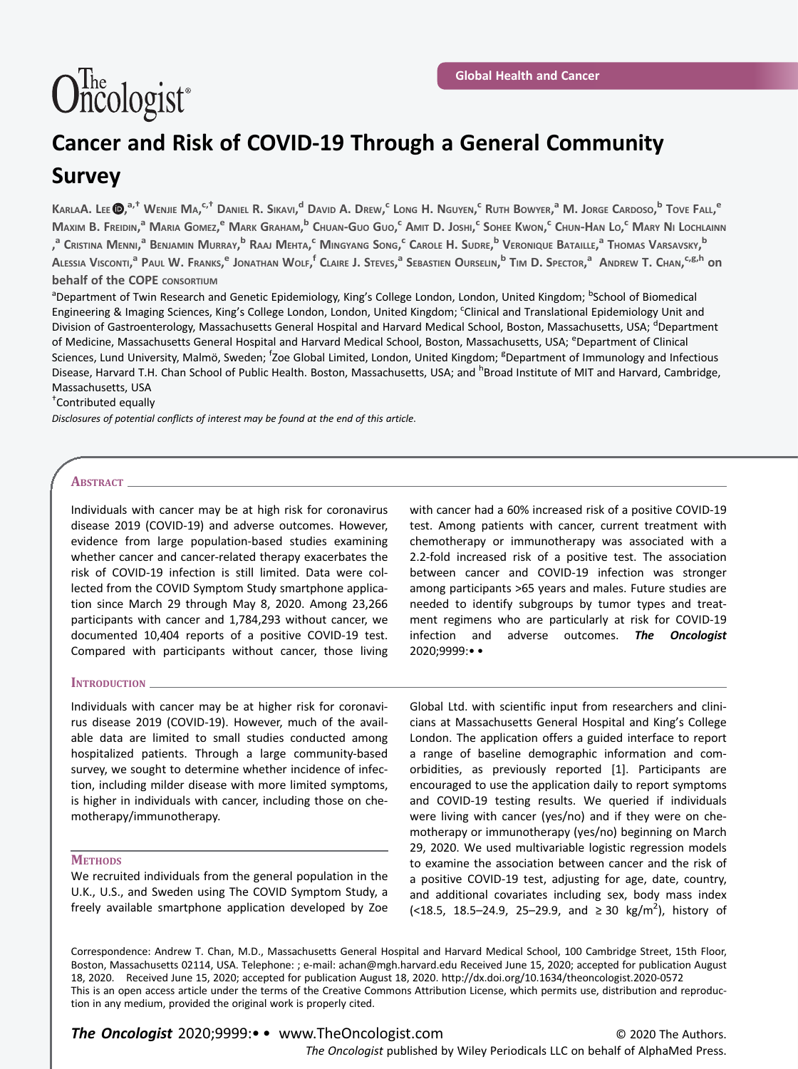# $\widehat{\text{O}}_{\text{ncologist}^{\text{th}}}$

# Cancer and Risk of COVID-19 Through a General Community Survey

Karla**A.** Lee (D),<sup>a,†</sup> Wenjie Ma,<sup>c,†</sup> Daniel R. Sikavi,<sup>d</sup> David A. Drew,<sup>c</sup> Long H. Nguyen,<sup>c</sup> Ruth Bowyer,<sup>a</sup> M. Jorge Cardoso,<sup>b</sup> Tove Fall,<sup>e</sup> Maxim B. Freidin,<sup>a</sup> Maria Gomez,<sup>e</sup> Mark Graham,<sup>b</sup> Chuan-Guo Guo,<sup>c</sup> Amit D. Joshi,<sup>c</sup> Sohee Kwon,<sup>c</sup> Chun-Han Lo,<sup>c</sup> Mary Ni Lochlainn ,<sup>a</sup> Cristina Menni,<sup>a</sup> Benjamin Murray,<sup>b</sup> Raaj Mehta,<sup>c</sup> Mingyang Song,<sup>c</sup> Carole H. Sudre,<sup>b</sup> Veronique Bataille,<sup>a</sup> Thomas Varsavsky,<sup>b</sup> Alessia Visconti,<sup>a</sup> Paul W. Franks,<sup>e</sup> Jonathan Wolf,<sup>f</sup> Claire J. Steves,<sup>a</sup> Sebastien Ourselin,<sup>b</sup> Tim D. Spector,<sup>a</sup> Andrew T. Chan,<sup>c,g,h</sup> on **behalf of the COPE** CONSORTIUM

<sup>a</sup>Department of Twin Research and Genetic Epidemiology, King's College London, London, United Kingdom; <sup>b</sup>School of Biomedical Engineering & Imaging Sciences, King's College London, London, United Kingdom; <sup>c</sup>Clinical and Translational Epidemiology Unit and Division of Gastroenterology, Massachusetts General Hospital and Harvard Medical School, Boston, Massachusetts, USA; <sup>d</sup>Department of Medicine, Massachusetts General Hospital and Harvard Medical School, Boston, Massachusetts, USA; <sup>e</sup>Department of Clinical Sciences, Lund University, Malmö, Sweden; <sup>f</sup>Zoe Global Limited, London, United Kingdom; <sup>g</sup>Department of Immunology and Infectious Disease, Harvard T.H. Chan School of Public Health. Boston, Massachusetts, USA; and <sup>h</sup>Broad Institute of MIT and Harvard, Cambridge, Massachusetts, USA

† Contributed equally

Disclosures of potential conflicts of interest may be found at the end of this article.

## ABSTRACT\_

Individuals with cancer may be at high risk for coronavirus disease 2019 (COVID-19) and adverse outcomes. However, evidence from large population-based studies examining whether cancer and cancer-related therapy exacerbates the risk of COVID-19 infection is still limited. Data were collected from the COVID Symptom Study smartphone application since March 29 through May 8, 2020. Among 23,266 participants with cancer and 1,784,293 without cancer, we documented 10,404 reports of a positive COVID-19 test. Compared with participants without cancer, those living

## INTRODUCTION \_

Individuals with cancer may be at higher risk for coronavirus disease 2019 (COVID-19). However, much of the available data are limited to small studies conducted among hospitalized patients. Through a large community-based survey, we sought to determine whether incidence of infection, including milder disease with more limited symptoms, is higher in individuals with cancer, including those on chemotherapy/immunotherapy.

# **METHODS**

We recruited individuals from the general population in the U.K., U.S., and Sweden using The COVID Symptom Study, a freely available smartphone application developed by Zoe

with cancer had a 60% increased risk of a positive COVID-19 test. Among patients with cancer, current treatment with chemotherapy or immunotherapy was associated with a 2.2-fold increased risk of a positive test. The association between cancer and COVID-19 infection was stronger among participants >65 years and males. Future studies are needed to identify subgroups by tumor types and treatment regimens who are particularly at risk for COVID-19 infection and adverse outcomes. The Oncologist 2020;9999:• •

Global Ltd. with scientific input from researchers and clinicians at Massachusetts General Hospital and King's College London. The application offers a guided interface to report a range of baseline demographic information and comorbidities, as previously reported [1]. Participants are encouraged to use the application daily to report symptoms and COVID-19 testing results. We queried if individuals were living with cancer (yes/no) and if they were on chemotherapy or immunotherapy (yes/no) beginning on March 29, 2020. We used multivariable logistic regression models to examine the association between cancer and the risk of a positive COVID-19 test, adjusting for age, date, country, and additional covariates including sex, body mass index (<18.5, 18.5–24.9, 25–29.9, and ≥ 30 kg/m<sup>2</sup>), history of

Correspondence: Andrew T. Chan, M.D., Massachusetts General Hospital and Harvard Medical School, 100 Cambridge Street, 15th Floor, Boston, Massachusetts 02114, USA. Telephone: ; e-mail: achan@mgh.harvard.edu Received June 15, 2020; accepted for publication August 18, 2020. Received June 15, 2020; accepted for publication August 18, 2020. http://dx.doi.org/10.1634/theoncologist.2020-0572 This is an open access article under the terms of the Creative Commons Attribution License, which permits use, distribution and reproduction in any medium, provided the original work is properly cited.

© 2020 The Authors. The Oncologist published by Wiley Periodicals LLC on behalf of AlphaMed Press. The Oncologist 2020;9999:• • www.TheOncologist.com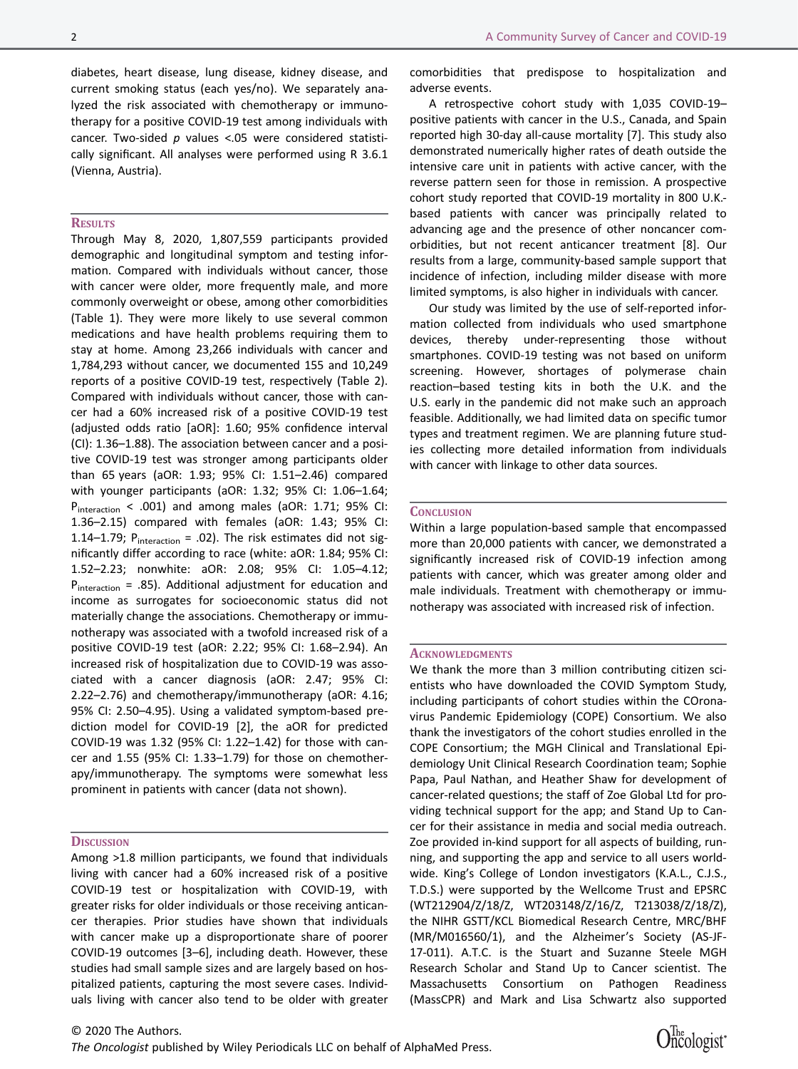diabetes, heart disease, lung disease, kidney disease, and current smoking status (each yes/no). We separately analyzed the risk associated with chemotherapy or immunotherapy for a positive COVID-19 test among individuals with cancer. Two-sided  $p$  values <.05 were considered statistically significant. All analyses were performed using R 3.6.1 (Vienna, Austria).

#### **RESULTS**

Through May 8, 2020, 1,807,559 participants provided demographic and longitudinal symptom and testing information. Compared with individuals without cancer, those with cancer were older, more frequently male, and more commonly overweight or obese, among other comorbidities (Table 1). They were more likely to use several common medications and have health problems requiring them to stay at home. Among 23,266 individuals with cancer and 1,784,293 without cancer, we documented 155 and 10,249 reports of a positive COVID-19 test, respectively (Table 2). Compared with individuals without cancer, those with cancer had a 60% increased risk of a positive COVID-19 test (adjusted odds ratio [aOR]: 1.60; 95% confidence interval (CI): 1.36–1.88). The association between cancer and a positive COVID-19 test was stronger among participants older than 65 years (aOR: 1.93; 95% CI: 1.51–2.46) compared with younger participants (aOR: 1.32; 95% CI: 1.06–1.64; P<sub>interaction</sub> < .001) and among males (aOR: 1.71; 95% CI: 1.36–2.15) compared with females (aOR: 1.43; 95% CI: 1.14–1.79;  $P_{interaction} = .02$ ). The risk estimates did not significantly differ according to race (white: aOR: 1.84; 95% CI: 1.52–2.23; nonwhite: aOR: 2.08; 95% CI: 1.05–4.12;  $P_{interaction}$  = .85). Additional adjustment for education and income as surrogates for socioeconomic status did not materially change the associations. Chemotherapy or immunotherapy was associated with a twofold increased risk of a positive COVID-19 test (aOR: 2.22; 95% CI: 1.68–2.94). An increased risk of hospitalization due to COVID-19 was associated with a cancer diagnosis (aOR: 2.47; 95% CI: 2.22–2.76) and chemotherapy/immunotherapy (aOR: 4.16; 95% CI: 2.50–4.95). Using a validated symptom-based prediction model for COVID-19 [2], the aOR for predicted COVID-19 was 1.32 (95% CI: 1.22–1.42) for those with cancer and 1.55 (95% CI: 1.33–1.79) for those on chemotherapy/immunotherapy. The symptoms were somewhat less prominent in patients with cancer (data not shown).

#### **DISCUSSION**

Among >1.8 million participants, we found that individuals living with cancer had a 60% increased risk of a positive COVID-19 test or hospitalization with COVID-19, with greater risks for older individuals or those receiving anticancer therapies. Prior studies have shown that individuals with cancer make up a disproportionate share of poorer COVID-19 outcomes [3–6], including death. However, these studies had small sample sizes and are largely based on hospitalized patients, capturing the most severe cases. Individuals living with cancer also tend to be older with greater comorbidities that predispose to hospitalization and adverse events.

A retrospective cohort study with 1,035 COVID-19– positive patients with cancer in the U.S., Canada, and Spain reported high 30-day all-cause mortality [7]. This study also demonstrated numerically higher rates of death outside the intensive care unit in patients with active cancer, with the reverse pattern seen for those in remission. A prospective cohort study reported that COVID-19 mortality in 800 U.K. based patients with cancer was principally related to advancing age and the presence of other noncancer comorbidities, but not recent anticancer treatment [8]. Our results from a large, community-based sample support that incidence of infection, including milder disease with more limited symptoms, is also higher in individuals with cancer.

Our study was limited by the use of self-reported information collected from individuals who used smartphone devices, thereby under-representing those without smartphones. COVID-19 testing was not based on uniform screening. However, shortages of polymerase chain reaction–based testing kits in both the U.K. and the U.S. early in the pandemic did not make such an approach feasible. Additionally, we had limited data on specific tumor types and treatment regimen. We are planning future studies collecting more detailed information from individuals with cancer with linkage to other data sources.

#### **CONCLUSION**

Within a large population-based sample that encompassed more than 20,000 patients with cancer, we demonstrated a significantly increased risk of COVID-19 infection among patients with cancer, which was greater among older and male individuals. Treatment with chemotherapy or immunotherapy was associated with increased risk of infection.

#### **ACKNOWLEDGMENTS**

We thank the more than 3 million contributing citizen scientists who have downloaded the COVID Symptom Study, including participants of cohort studies within the COronavirus Pandemic Epidemiology (COPE) Consortium. We also thank the investigators of the cohort studies enrolled in the COPE Consortium; the MGH Clinical and Translational Epidemiology Unit Clinical Research Coordination team; Sophie Papa, Paul Nathan, and Heather Shaw for development of cancer-related questions; the staff of Zoe Global Ltd for providing technical support for the app; and Stand Up to Cancer for their assistance in media and social media outreach. Zoe provided in-kind support for all aspects of building, running, and supporting the app and service to all users worldwide. King's College of London investigators (K.A.L., C.J.S., T.D.S.) were supported by the Wellcome Trust and EPSRC (WT212904/Z/18/Z, WT203148/Z/16/Z, T213038/Z/18/Z), the NIHR GSTT/KCL Biomedical Research Centre, MRC/BHF (MR/M016560/1), and the Alzheimer's Society (AS-JF-17-011). A.T.C. is the Stuart and Suzanne Steele MGH Research Scholar and Stand Up to Cancer scientist. The Massachusetts Consortium on Pathogen Readiness (MassCPR) and Mark and Lisa Schwartz also supported

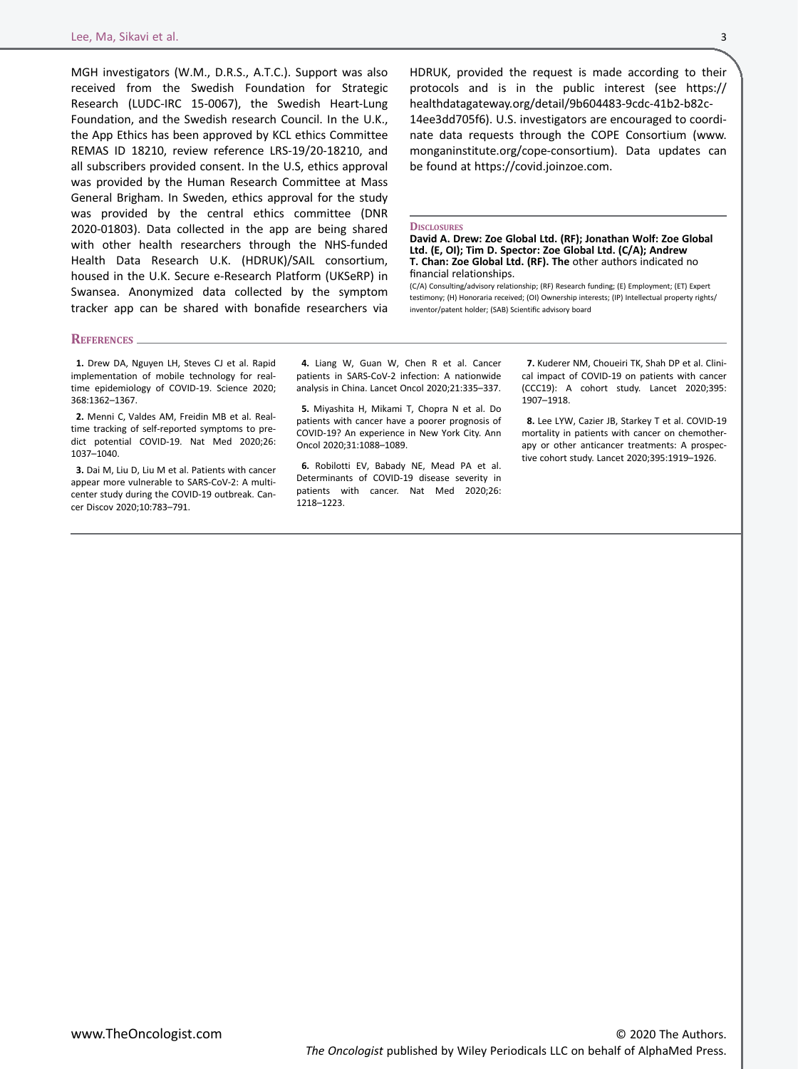MGH investigators (W.M., D.R.S., A.T.C.). Support was also received from the Swedish Foundation for Strategic Research (LUDC-IRC 15-0067), the Swedish Heart-Lung Foundation, and the Swedish research Council. In the U.K., the App Ethics has been approved by KCL ethics Committee REMAS ID 18210, review reference LRS-19/20-18210, and all subscribers provided consent. In the U.S, ethics approval was provided by the Human Research Committee at Mass General Brigham. In Sweden, ethics approval for the study was provided by the central ethics committee (DNR 2020-01803). Data collected in the app are being shared with other health researchers through the NHS-funded Health Data Research U.K. (HDRUK)/SAIL consortium, housed in the U.K. Secure e-Research Platform (UKSeRP) in Swansea. Anonymized data collected by the symptom tracker app can be shared with bonafide researchers via

#### REFERENCES.

1. Drew DA, Nguyen LH, Steves CJ et al. Rapid implementation of mobile technology for realtime epidemiology of COVID-19. Science 2020; 368:1362–1367.

2. Menni C, Valdes AM, Freidin MB et al. Realtime tracking of self-reported symptoms to predict potential COVID-19. Nat Med 2020;26: 1037–1040.

3. Dai M, Liu D, Liu M et al. Patients with cancer appear more vulnerable to SARS-CoV-2: A multicenter study during the COVID-19 outbreak. Cancer Discov 2020;10:783–791.

4. Liang W, Guan W, Chen R et al. Cancer patients in SARS-CoV-2 infection: A nationwide analysis in China. Lancet Oncol 2020;21:335–337.

**DISCLOSURES** 

financial relationships.

5. Miyashita H, Mikami T, Chopra N et al. Do patients with cancer have a poorer prognosis of COVID-19? An experience in New York City. Ann Oncol 2020;31:1088–1089.

6. Robilotti EV, Babady NE, Mead PA et al. Determinants of COVID-19 disease severity in patients with cancer. Nat Med 2020;26: 1218–1223.

7. Kuderer NM, Choueiri TK, Shah DP et al. Clinical impact of COVID-19 on patients with cancer (CCC19): A cohort study. Lancet 2020;395: 1907–1918.

8. Lee LYW, Cazier JB, Starkey T et al. COVID-19 mortality in patients with cancer on chemotherapy or other anticancer treatments: A prospective cohort study. Lancet 2020;395:1919–1926.

HDRUK, provided the request is made according to their protocols and is in the public interest (see https:// healthdatagateway.org/detail/9b604483-9cdc-41b2-b82c-14ee3dd705f6). U.S. investigators are encouraged to coordinate data requests through the COPE Consortium (www. monganinstitute.org/cope-consortium). Data updates can

be found at https://covid.joinzoe.com.

inventor/patent holder; (SAB) Scientific advisory board

David A. Drew: Zoe Global Ltd. (RF); Jonathan Wolf: Zoe Global Ltd. (E, OI); Tim D. Spector: Zoe Global Ltd. (C/A); Andrew T. Chan: Zoe Global Ltd. (RF). The other authors indicated no

(C/A) Consulting/advisory relationship; (RF) Research funding; (E) Employment; (ET) Expert testimony; (H) Honoraria received; (OI) Ownership interests; (IP) Intellectual property rights/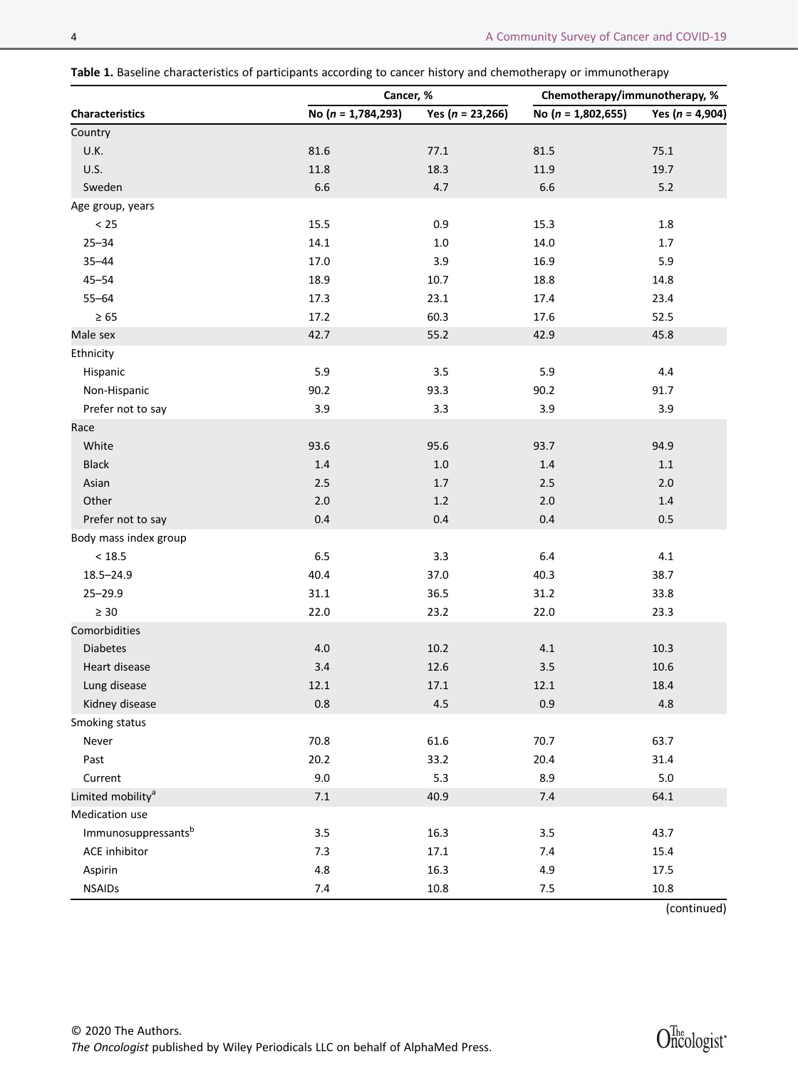Table 1. Baseline characteristics of participants according to cancer history and chemotherapy or immunotherapy

|                               | Cancer, %              |                      | Chemotherapy/immunotherapy, % |                     |
|-------------------------------|------------------------|----------------------|-------------------------------|---------------------|
| <b>Characteristics</b>        | No $(n = 1, 784, 293)$ | Yes ( $n = 23,266$ ) | No ( $n = 1,802,655$ )        | Yes ( $n = 4,904$ ) |
| Country                       |                        |                      |                               |                     |
| U.K.                          | 81.6                   | 77.1                 | 81.5                          | 75.1                |
| <b>U.S.</b>                   | $11.8\,$               | 18.3                 | 11.9                          | 19.7                |
| Sweden                        | 6.6                    | 4.7                  | 6.6                           | $5.2$               |
| Age group, years              |                        |                      |                               |                     |
| $< 25$                        | 15.5                   | 0.9                  | 15.3                          | $1.8\,$             |
| $25 - 34$                     | 14.1                   | $1.0\,$              | 14.0                          | 1.7                 |
| $35 - 44$                     | $17.0\,$               | 3.9                  | 16.9                          | 5.9                 |
| $45 - 54$                     | 18.9                   | 10.7                 | 18.8                          | 14.8                |
| $55 - 64$                     | 17.3                   | 23.1                 | 17.4                          | 23.4                |
| $\geq 65$                     | 17.2                   | 60.3                 | 17.6                          | 52.5                |
| Male sex                      | 42.7                   | 55.2                 | 42.9                          | 45.8                |
| Ethnicity                     |                        |                      |                               |                     |
| Hispanic                      | 5.9                    | $3.5\,$              | 5.9                           | 4.4                 |
| Non-Hispanic                  | 90.2                   | 93.3                 | 90.2                          | 91.7                |
| Prefer not to say             | 3.9                    | 3.3                  | 3.9                           | 3.9                 |
| Race                          |                        |                      |                               |                     |
| White                         | 93.6                   | 95.6                 | 93.7                          | 94.9                |
| Black                         | $1.4\,$                | $1.0\,$              | $1.4\,$                       | $1.1\,$             |
| Asian                         | 2.5                    | $1.7\,$              | 2.5                           | 2.0                 |
| Other                         | 2.0                    | 1.2                  | 2.0                           | 1.4                 |
| Prefer not to say             | 0.4                    | 0.4                  | 0.4                           | 0.5                 |
| Body mass index group         |                        |                      |                               |                     |
| $<18.5\,$                     | 6.5                    | 3.3                  | 6.4                           | 4.1                 |
| 18.5-24.9                     | 40.4                   | 37.0                 | 40.3                          | 38.7                |
| $25 - 29.9$                   | 31.1                   | 36.5                 | 31.2                          | 33.8                |
| $\geq 30$                     | 22.0                   | 23.2                 | 22.0                          | 23.3                |
| Comorbidities                 |                        |                      |                               |                     |
| <b>Diabetes</b>               | 4.0                    | $10.2\,$             | 4.1                           | $10.3\,$            |
| Heart disease                 | 3.4                    | 12.6                 | 3.5                           | 10.6                |
| Lung disease                  | 12.1                   | 17.1                 | 12.1                          | 18.4                |
| Kidney disease                | $0.8\,$                | $4.5\,$              | 0.9                           | 4.8                 |
| Smoking status                |                        |                      |                               |                     |
| Never                         | 70.8                   | 61.6                 | 70.7                          | 63.7                |
| Past                          | 20.2                   | 33.2                 | 20.4                          | 31.4                |
| Current                       | 9.0                    | 5.3                  | 8.9                           | $5.0$               |
| Limited mobility <sup>a</sup> | $7.1\,$                | 40.9                 | 7.4                           | 64.1                |
| Medication use                |                        |                      |                               |                     |
| Immunosuppressantsb           | $3.5\,$                | 16.3                 | $3.5\,$                       | 43.7                |
| ACE inhibitor                 | 7.3                    | 17.1                 | 7.4                           | 15.4                |
| Aspirin                       | 4.8                    | 16.3                 | 4.9                           | 17.5                |
| <b>NSAIDs</b>                 | $7.4$                  | 10.8                 | $7.5$                         | 10.8                |

(continued)

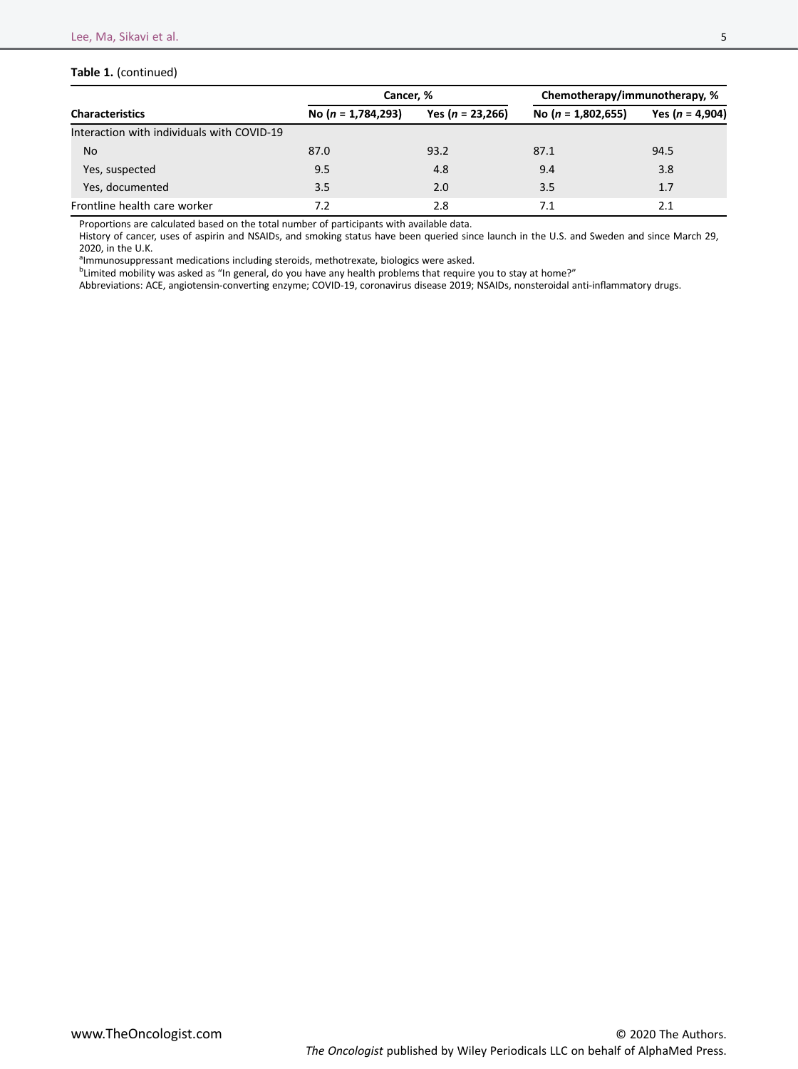# Table 1. (continued)

|                                            | Cancer. %              |                    | Chemotherapy/immunotherapy, % |                     |
|--------------------------------------------|------------------------|--------------------|-------------------------------|---------------------|
| <b>Characteristics</b>                     | No ( $n = 1,784,293$ ) | Yes $(n = 23,266)$ | No ( $n = 1,802,655$ )        | Yes ( $n = 4,904$ ) |
| Interaction with individuals with COVID-19 |                        |                    |                               |                     |
| <b>No</b>                                  | 87.0                   | 93.2               | 87.1                          | 94.5                |
| Yes, suspected                             | 9.5                    | 4.8                | 9.4                           | 3.8                 |
| Yes, documented                            | 3.5                    | 2.0                | 3.5                           | 1.7                 |
| Frontline health care worker               | 7.2                    | 2.8                | 7.1                           | 2.1                 |

Proportions are calculated based on the total number of participants with available data.

History of cancer, uses of aspirin and NSAIDs, and smoking status have been queried since launch in the U.S. and Sweden and since March 29, 2020, in the U.K.

almmunosuppressant medications including steroids, methotrexate, biologics were asked.

<sup>b</sup> Limited mobility was asked as "In general, do you have any health problems that require you to stay at home?"

Abbreviations: ACE, angiotensin-converting enzyme; COVID-19, coronavirus disease 2019; NSAIDs, nonsteroidal anti-inflammatory drugs.